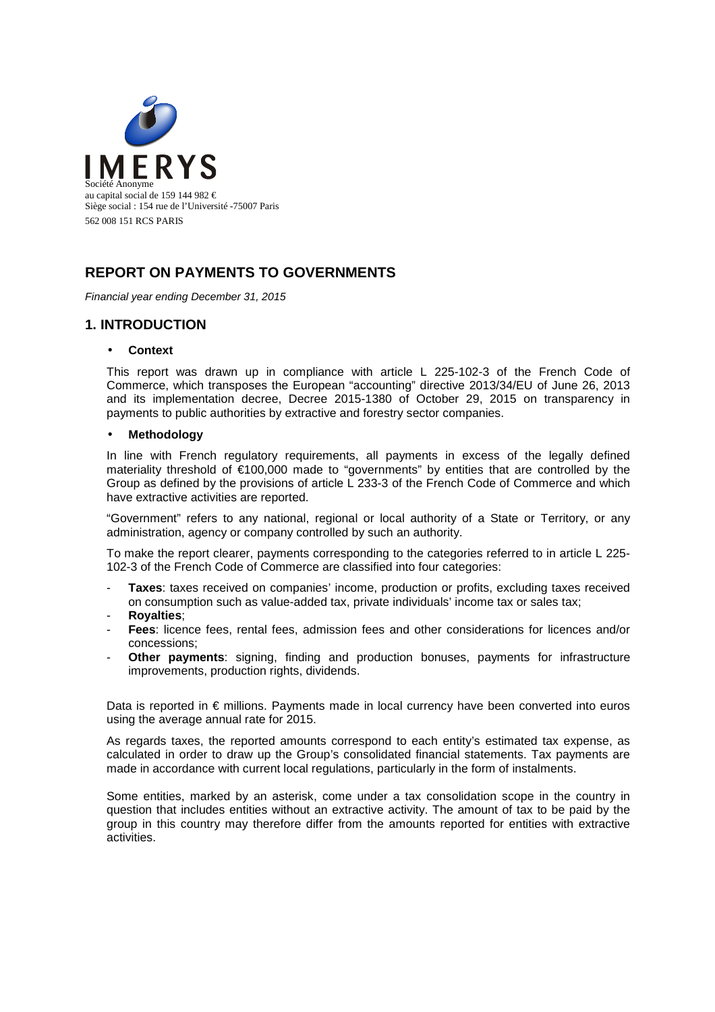

## **REPORT ON PAYMENTS TO GOVERNMENTS**

Financial year ending December 31, 2015

### **1. INTRODUCTION**

#### • **Context**

This report was drawn up in compliance with article L 225-102-3 of the French Code of Commerce, which transposes the European "accounting" directive 2013/34/EU of June 26, 2013 and its implementation decree, Decree 2015-1380 of October 29, 2015 on transparency in payments to public authorities by extractive and forestry sector companies.

#### • **Methodology**

In line with French regulatory requirements, all payments in excess of the legally defined materiality threshold of €100,000 made to "governments" by entities that are controlled by the Group as defined by the provisions of article L 233-3 of the French Code of Commerce and which have extractive activities are reported.

"Government" refers to any national, regional or local authority of a State or Territory, or any administration, agency or company controlled by such an authority.

To make the report clearer, payments corresponding to the categories referred to in article L 225- 102-3 of the French Code of Commerce are classified into four categories:

- **Taxes**: taxes received on companies' income, production or profits, excluding taxes received on consumption such as value-added tax, private individuals' income tax or sales tax;
- **Royalties**;
- **Fees**: licence fees, rental fees, admission fees and other considerations for licences and/or concessions;
- **Other payments**: signing, finding and production bonuses, payments for infrastructure improvements, production rights, dividends.

Data is reported in € millions. Payments made in local currency have been converted into euros using the average annual rate for 2015.

As regards taxes, the reported amounts correspond to each entity's estimated tax expense, as calculated in order to draw up the Group's consolidated financial statements. Tax payments are made in accordance with current local regulations, particularly in the form of instalments.

Some entities, marked by an asterisk, come under a tax consolidation scope in the country in question that includes entities without an extractive activity. The amount of tax to be paid by the group in this country may therefore differ from the amounts reported for entities with extractive activities.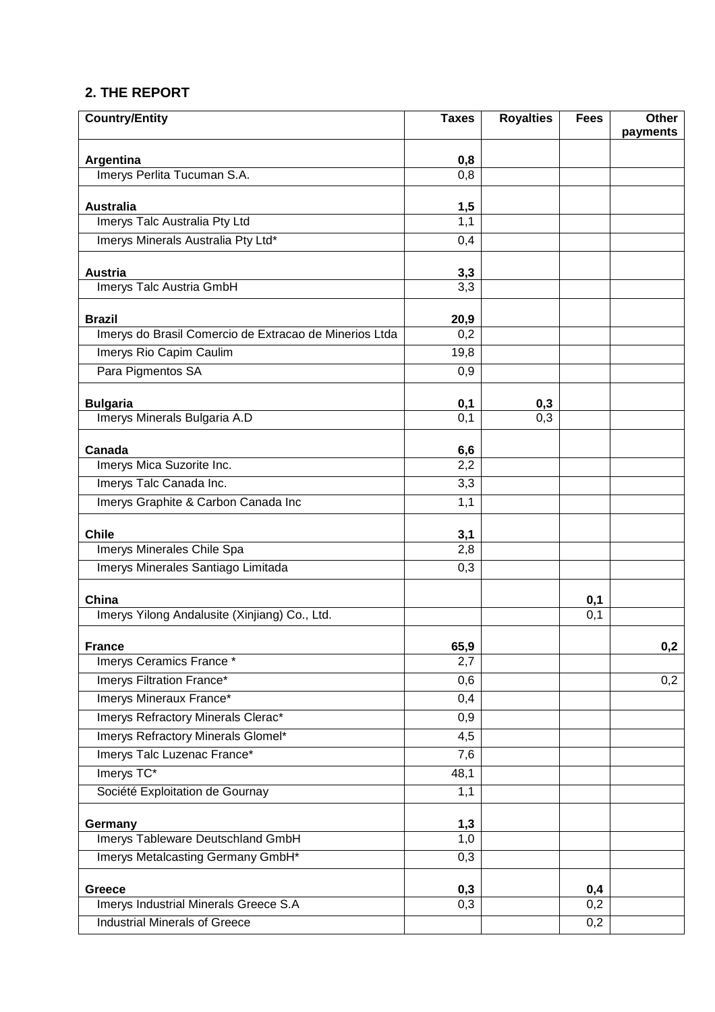# **2. THE REPORT**

| <b>Country/Entity</b>                                            | <b>Taxes</b>      | <b>Royalties</b> | <b>Fees</b>      | Other    |
|------------------------------------------------------------------|-------------------|------------------|------------------|----------|
|                                                                  |                   |                  |                  | payments |
| Argentina                                                        | 0,8               |                  |                  |          |
| Imerys Perlita Tucuman S.A.                                      | 0,8               |                  |                  |          |
| <b>Australia</b>                                                 |                   |                  |                  |          |
| Imerys Talc Australia Pty Ltd                                    | $\frac{1,5}{1,1}$ |                  |                  |          |
| Imerys Minerals Australia Pty Ltd*                               | 0,4               |                  |                  |          |
|                                                                  |                   |                  |                  |          |
| <b>Austria</b>                                                   | 3,3               |                  |                  |          |
| Imerys Talc Austria GmbH                                         | $\overline{3,3}$  |                  |                  |          |
| <b>Brazil</b>                                                    | 20,9              |                  |                  |          |
| Imerys do Brasil Comercio de Extracao de Minerios Ltda           | 0,2               |                  |                  |          |
| Imerys Rio Capim Caulim                                          | 19,8              |                  |                  |          |
| Para Pigmentos SA                                                | 0,9               |                  |                  |          |
|                                                                  |                   |                  |                  |          |
| <b>Bulgaria</b>                                                  | 0,1               | 0,3              |                  |          |
| Imerys Minerals Bulgaria A.D                                     | $\overline{0,1}$  | 0,3              |                  |          |
| Canada                                                           | 6,6               |                  |                  |          |
| Imerys Mica Suzorite Inc.                                        | 2,2               |                  |                  |          |
| Imerys Talc Canada Inc.                                          | $\overline{3,3}$  |                  |                  |          |
| Imerys Graphite & Carbon Canada Inc                              | 1,1               |                  |                  |          |
|                                                                  |                   |                  |                  |          |
| <b>Chile</b>                                                     | 3,1<br>2,8        |                  |                  |          |
| Imerys Minerales Chile Spa<br>Imerys Minerales Santiago Limitada | $\overline{0,3}$  |                  |                  |          |
|                                                                  |                   |                  |                  |          |
| China                                                            |                   |                  | 0,1              |          |
| Imerys Yilong Andalusite (Xinjiang) Co., Ltd.                    |                   |                  | $\overline{0,1}$ |          |
|                                                                  |                   |                  |                  |          |
| <b>France</b><br>Imerys Ceramics France *                        | 65,9<br>2,7       |                  |                  | 0,2      |
| Imerys Filtration France*                                        | 0,6               |                  |                  | 0,2      |
| Imerys Mineraux France*                                          | 0,4               |                  |                  |          |
| Imerys Refractory Minerals Clerac*                               | 0,9               |                  |                  |          |
| Imerys Refractory Minerals Glomel*                               | 4,5               |                  |                  |          |
| Imerys Talc Luzenac France*                                      | 7,6               |                  |                  |          |
| Imerys TC*                                                       | 48,1              |                  |                  |          |
| Société Exploitation de Gournay                                  | 1,1               |                  |                  |          |
|                                                                  |                   |                  |                  |          |
| Germany                                                          | 1,3               |                  |                  |          |
| Imerys Tableware Deutschland GmbH                                | 1,0               |                  |                  |          |
| Imerys Metalcasting Germany GmbH*                                | 0,3               |                  |                  |          |
| <b>Greece</b>                                                    | 0,3               |                  | 0,4              |          |
| Imerys Industrial Minerals Greece S.A                            | 0,3               |                  | $\overline{0,2}$ |          |
| <b>Industrial Minerals of Greece</b>                             |                   |                  | 0,2              |          |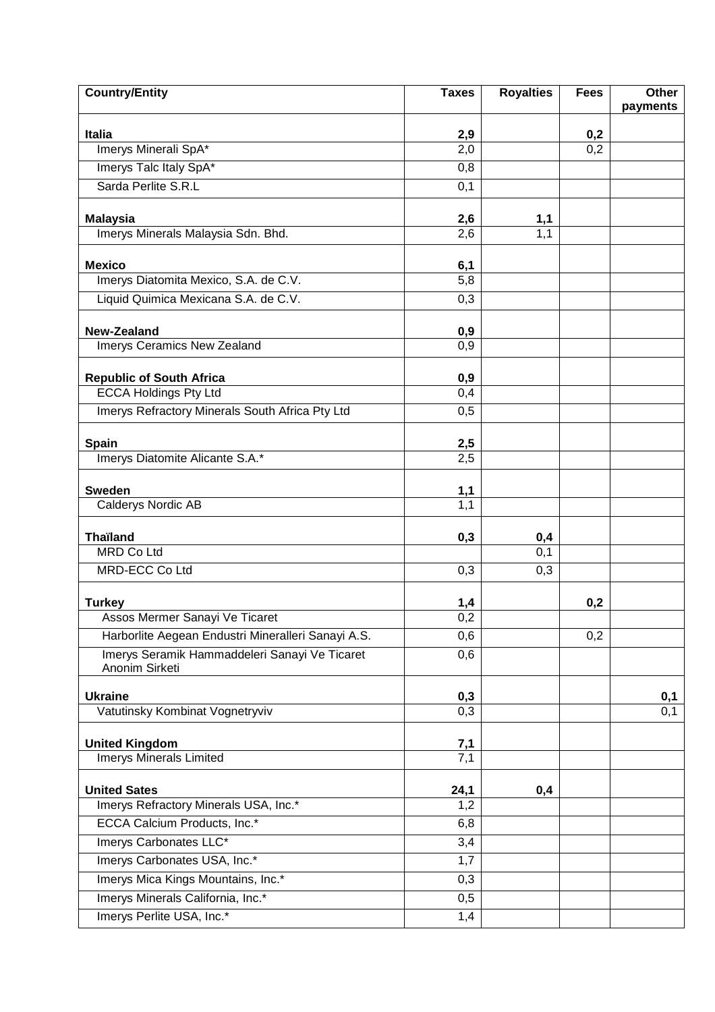| <b>Country/Entity</b>                                           | <b>Taxes</b>      | <b>Royalties</b>  | <b>Fees</b>      | <b>Other</b> |
|-----------------------------------------------------------------|-------------------|-------------------|------------------|--------------|
|                                                                 |                   |                   |                  | payments     |
| <b>Italia</b>                                                   | 2,9               |                   | 0,2              |              |
| Imerys Minerali SpA*                                            | 2,0               |                   | $\overline{0,2}$ |              |
| Imerys Talc Italy SpA*                                          | 0,8               |                   |                  |              |
| Sarda Perlite S.R.L                                             | 0,1               |                   |                  |              |
| <b>Malaysia</b>                                                 | 2,6               |                   |                  |              |
| Imerys Minerals Malaysia Sdn. Bhd.                              | 2,6               | $\frac{1,1}{1,1}$ |                  |              |
|                                                                 |                   |                   |                  |              |
| <b>Mexico</b>                                                   | 6,1<br>5,8        |                   |                  |              |
| Imerys Diatomita Mexico, S.A. de C.V.                           |                   |                   |                  |              |
| Liquid Quimica Mexicana S.A. de C.V.                            | 0,3               |                   |                  |              |
| <b>New-Zealand</b>                                              | 0,9               |                   |                  |              |
| Imerys Ceramics New Zealand                                     | 0,9               |                   |                  |              |
|                                                                 |                   |                   |                  |              |
| <b>Republic of South Africa</b>                                 | 0,9               |                   |                  |              |
| <b>ECCA Holdings Pty Ltd</b>                                    | 0,4               |                   |                  |              |
| Imerys Refractory Minerals South Africa Pty Ltd                 | 0,5               |                   |                  |              |
|                                                                 |                   |                   |                  |              |
| <b>Spain</b><br>Imerys Diatomite Alicante S.A.*                 | 2,5<br>2,5        |                   |                  |              |
|                                                                 |                   |                   |                  |              |
| <b>Sweden</b>                                                   | 1,1               |                   |                  |              |
| <b>Calderys Nordic AB</b>                                       | 1,1               |                   |                  |              |
| <b>Thaïland</b>                                                 | 0,3               | 0,4               |                  |              |
| <b>MRD Co Ltd</b>                                               |                   | 0,1               |                  |              |
| <b>MRD-ECC Co Ltd</b>                                           | 0,3               | 0,3               |                  |              |
|                                                                 |                   |                   |                  |              |
| <b>Turkey</b>                                                   | $\frac{1,4}{0,2}$ |                   | 0,2              |              |
| Assos Mermer Sanayi Ve Ticaret                                  |                   |                   |                  |              |
| Harborlite Aegean Endustri Mineralleri Sanayi A.S.              | 0,6               |                   | 0,2              |              |
| Imerys Seramik Hammaddeleri Sanayi Ve Ticaret<br>Anonim Sirketi | 0,6               |                   |                  |              |
|                                                                 |                   |                   |                  |              |
| <b>Ukraine</b>                                                  | 0,3               |                   |                  | 0,1          |
| Vatutinsky Kombinat Vognetryviv                                 | 0,3               |                   |                  | 0,1          |
| <b>United Kingdom</b>                                           |                   |                   |                  |              |
| <b>Imerys Minerals Limited</b>                                  | $\frac{7,1}{7,1}$ |                   |                  |              |
|                                                                 |                   |                   |                  |              |
| <b>United Sates</b>                                             | 24,1              | 0,4               |                  |              |
| Imerys Refractory Minerals USA, Inc.*                           | 1,2               |                   |                  |              |
| ECCA Calcium Products, Inc.*                                    | 6,8               |                   |                  |              |
| Imerys Carbonates LLC*                                          | 3,4               |                   |                  |              |
| Imerys Carbonates USA, Inc.*                                    | 1,7               |                   |                  |              |
| Imerys Mica Kings Mountains, Inc.*                              | 0,3               |                   |                  |              |
| Imerys Minerals California, Inc.*                               | 0,5               |                   |                  |              |
| Imerys Perlite USA, Inc.*                                       | 1,4               |                   |                  |              |